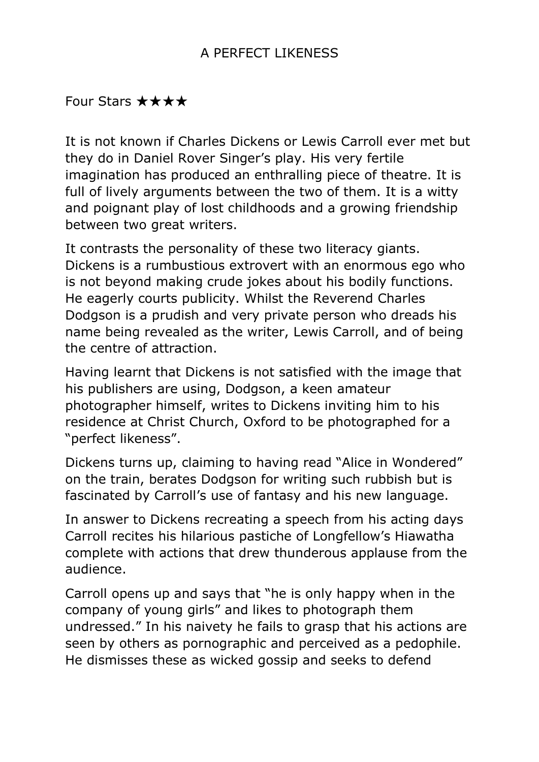## A PERFECT LIKENESS

## Four Stars ★★★★

It is not known if Charles Dickens or Lewis Carroll ever met but they do in Daniel Rover Singer's play. His very fertile imagination has produced an enthralling piece of theatre. It is full of lively arguments between the two of them. It is a witty and poignant play of lost childhoods and a growing friendship between two great writers.

It contrasts the personality of these two literacy giants. Dickens is a rumbustious extrovert with an enormous ego who is not beyond making crude jokes about his bodily functions. He eagerly courts publicity. Whilst the Reverend Charles Dodgson is a prudish and very private person who dreads his name being revealed as the writer, Lewis Carroll, and of being the centre of attraction.

Having learnt that Dickens is not satisfied with the image that his publishers are using, Dodgson, a keen amateur photographer himself, writes to Dickens inviting him to his residence at Christ Church, Oxford to be photographed for a "perfect likeness".

Dickens turns up, claiming to having read "Alice in Wondered" on the train, berates Dodgson for writing such rubbish but is fascinated by Carroll's use of fantasy and his new language.

In answer to Dickens recreating a speech from his acting days Carroll recites his hilarious pastiche of Longfellow's Hiawatha complete with actions that drew thunderous applause from the audience.

Carroll opens up and says that "he is only happy when in the company of young girls" and likes to photograph them undressed." In his naivety he fails to grasp that his actions are seen by others as pornographic and perceived as a pedophile. He dismisses these as wicked gossip and seeks to defend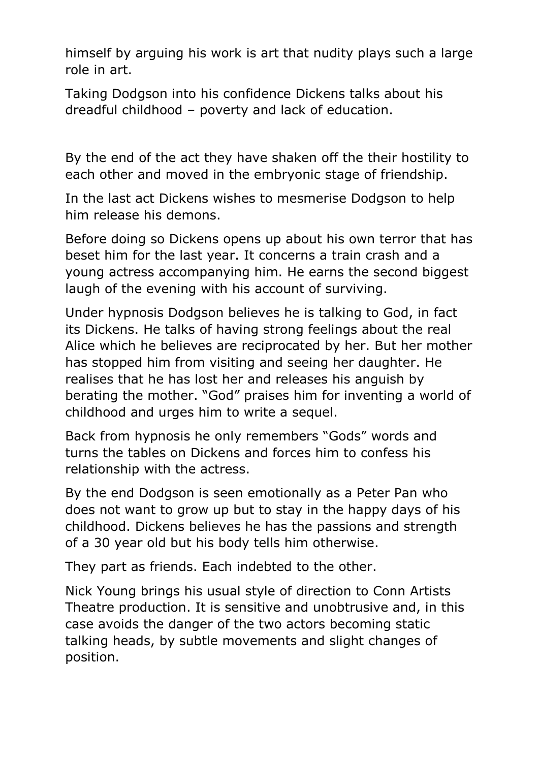himself by arguing his work is art that nudity plays such a large role in art.

Taking Dodgson into his confidence Dickens talks about his dreadful childhood – poverty and lack of education.

By the end of the act they have shaken off the their hostility to each other and moved in the embryonic stage of friendship.

In the last act Dickens wishes to mesmerise Dodgson to help him release his demons.

Before doing so Dickens opens up about his own terror that has beset him for the last year. It concerns a train crash and a young actress accompanying him. He earns the second biggest laugh of the evening with his account of surviving.

Under hypnosis Dodgson believes he is talking to God, in fact its Dickens. He talks of having strong feelings about the real Alice which he believes are reciprocated by her. But her mother has stopped him from visiting and seeing her daughter. He realises that he has lost her and releases his anguish by berating the mother. "God" praises him for inventing a world of childhood and urges him to write a sequel.

Back from hypnosis he only remembers "Gods" words and turns the tables on Dickens and forces him to confess his relationship with the actress.

By the end Dodgson is seen emotionally as a Peter Pan who does not want to grow up but to stay in the happy days of his childhood. Dickens believes he has the passions and strength of a 30 year old but his body tells him otherwise.

They part as friends. Each indebted to the other.

Nick Young brings his usual style of direction to Conn Artists Theatre production. It is sensitive and unobtrusive and, in this case avoids the danger of the two actors becoming static talking heads, by subtle movements and slight changes of position.